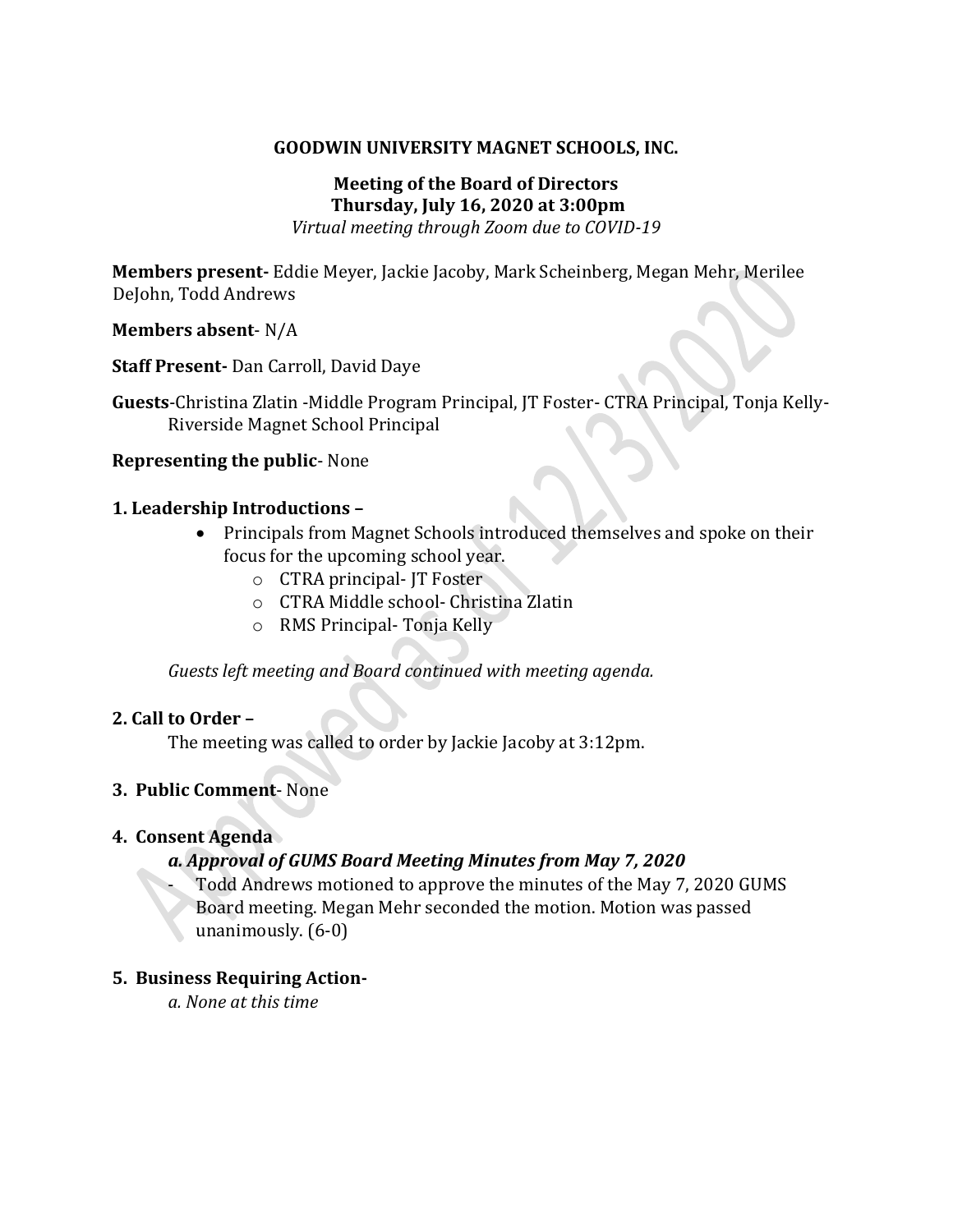#### **GOODWIN UNIVERSITY MAGNET SCHOOLS, INC.**

## **Meeting of the Board of Directors Thursday, July 16, 2020 at 3:00pm**

*Virtual meeting through Zoom due to COVID-19*

**Members present-** Eddie Meyer, Jackie Jacoby, Mark Scheinberg, Megan Mehr, Merilee DeJohn, Todd Andrews

#### **Members absent**- N/A

**Staff Present-** Dan Carroll, David Daye

**Guests**-Christina Zlatin -Middle Program Principal, JT Foster- CTRA Principal, Tonja Kelly-Riverside Magnet School Principal

#### **Representing the public**- None

#### **1. Leadership Introductions –**

- Principals from Magnet Schools introduced themselves and spoke on their focus for the upcoming school year.
	- o CTRA principal- JT Foster
	- o CTRA Middle school- Christina Zlatin
	- o RMS Principal- Tonja Kelly

*Guests left meeting and Board continued with meeting agenda.*

## **2. Call to Order –**

The meeting was called to order by Jackie Jacoby at 3:12pm.

## **3. Public Comment**- None

#### **4. Consent Agenda**

## *a. Approval of GUMS Board Meeting Minutes from May 7, 2020*

Todd Andrews motioned to approve the minutes of the May 7, 2020 GUMS Board meeting. Megan Mehr seconded the motion. Motion was passed unanimously. (6-0)

## **5. Business Requiring Action-**

*a. None at this time*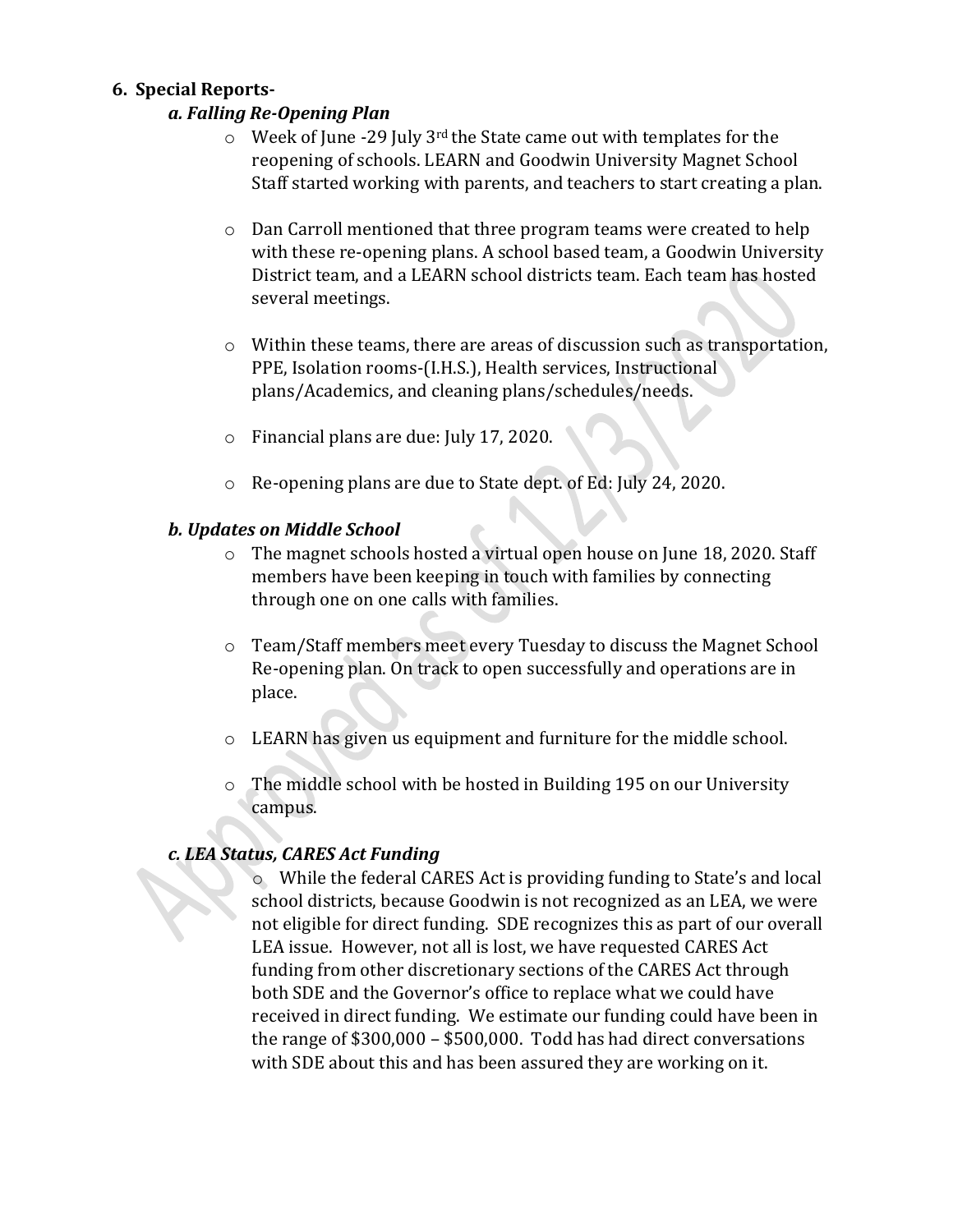## **6. Special Reports-**

## *a. Falling Re-Opening Plan*

- $\circ$  Week of June -29 July 3<sup>rd</sup> the State came out with templates for the reopening of schools. LEARN and Goodwin University Magnet School Staff started working with parents, and teachers to start creating a plan.
- o Dan Carroll mentioned that three program teams were created to help with these re-opening plans. A school based team, a Goodwin University District team, and a LEARN school districts team. Each team has hosted several meetings.
- o Within these teams, there are areas of discussion such as transportation, PPE, Isolation rooms-(I.H.S.), Health services, Instructional plans/Academics, and cleaning plans/schedules/needs.
- o Financial plans are due: July 17, 2020.
- o Re-opening plans are due to State dept. of Ed: July 24, 2020.

# *b. Updates on Middle School*

- o The magnet schools hosted a virtual open house on June 18, 2020. Staff members have been keeping in touch with families by connecting through one on one calls with families.
- o Team/Staff members meet every Tuesday to discuss the Magnet School Re-opening plan. On track to open successfully and operations are in place.
- o LEARN has given us equipment and furniture for the middle school.
- o The middle school with be hosted in Building 195 on our University campus.

# *c. LEA Status, CARES Act Funding*

o While the federal CARES Act is providing funding to State's and local school districts, because Goodwin is not recognized as an LEA, we were not eligible for direct funding. SDE recognizes this as part of our overall LEA issue. However, not all is lost, we have requested CARES Act funding from other discretionary sections of the CARES Act through both SDE and the Governor's office to replace what we could have received in direct funding. We estimate our funding could have been in the range of \$300,000 – \$500,000. Todd has had direct conversations with SDE about this and has been assured they are working on it.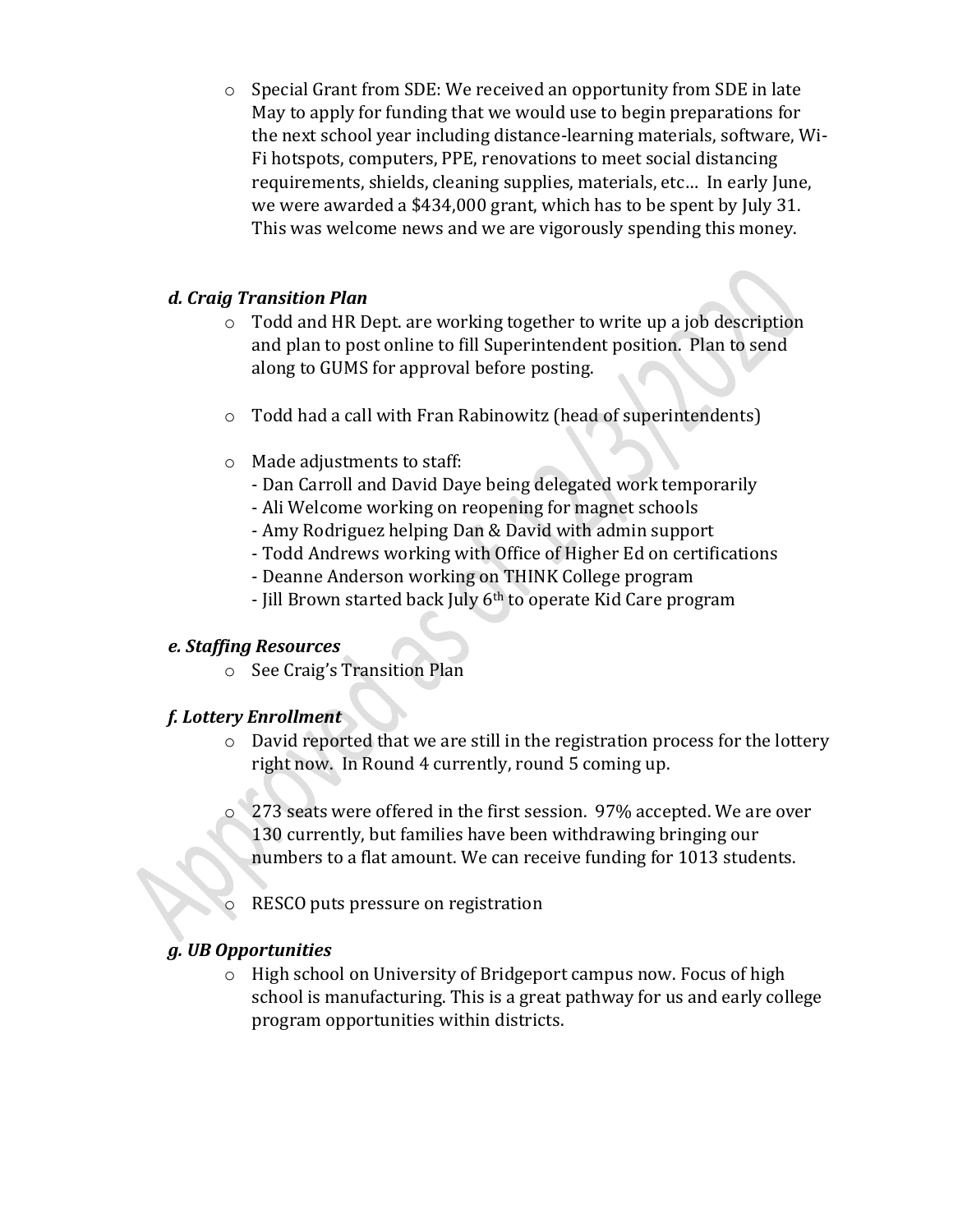o Special Grant from SDE: We received an opportunity from SDE in late May to apply for funding that we would use to begin preparations for the next school year including distance-learning materials, software, Wi-Fi hotspots, computers, PPE, renovations to meet social distancing requirements, shields, cleaning supplies, materials, etc… In early June, we were awarded a \$434,000 grant, which has to be spent by July 31. This was welcome news and we are vigorously spending this money.

## *d. Craig Transition Plan*

- o Todd and HR Dept. are working together to write up a job description and plan to post online to fill Superintendent position. Plan to send along to GUMS for approval before posting.
- o Todd had a call with Fran Rabinowitz (head of superintendents)
- o Made adjustments to staff:
	- Dan Carroll and David Daye being delegated work temporarily
	- Ali Welcome working on reopening for magnet schools
	- Amy Rodriguez helping Dan & David with admin support
	- Todd Andrews working with Office of Higher Ed on certifications
	- Deanne Anderson working on THINK College program
	- Jill Brown started back July 6th to operate Kid Care program

## *e. Staffing Resources*

o See Craig's Transition Plan

# *f. Lottery Enrollment*

- o David reported that we are still in the registration process for the lottery right now. In Round 4 currently, round 5 coming up.
- o 273 seats were offered in the first session. 97% accepted. We are over 130 currently, but families have been withdrawing bringing our numbers to a flat amount. We can receive funding for 1013 students.
- RESCO puts pressure on registration

# *g. UB Opportunities*

o High school on University of Bridgeport campus now. Focus of high school is manufacturing. This is a great pathway for us and early college program opportunities within districts.